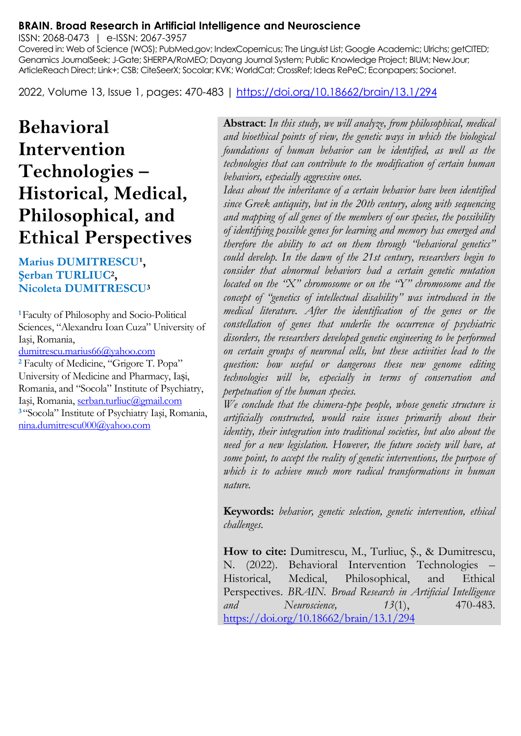#### **BRAIN. Broad Research in Artificial Intelligence and Neuroscience**

ISSN: 2068-0473 | e-ISSN: 2067-3957

Covered in: Web of Science (WOS); PubMed.gov; IndexCopernicus; The Linguist List; Google Academic; Ulrichs; getCITED; Genamics JournalSeek; J-Gate; SHERPA/RoMEO; Dayang Journal System; Public Knowledge Project; BIUM; NewJour; ArticleReach Direct; Link+; CSB; CiteSeerX; Socolar; KVK; WorldCat; CrossRef; Ideas RePeC; Econpapers; Socionet.

2022, Volume 13, Issue 1, pages: 470-483 |<https://doi.org/10.18662/brain/13.1/294>

# **Behavioral Intervention Technologies – Historical, Medical, Philosophical, and Ethical Perspectives**

#### **Marius DUMITRESCU<sup>1</sup>, Şerban TURLIUC<sup>2</sup> , Nicoleta DUMITRESCU<sup>3</sup>**

**<sup>1</sup>**Faculty of Philosophy and Socio-Political Sciences, "Alexandru Ioan Cuza" University of Iaşi, Romania,

[dumitrescu.marius66@yahoo.com](mailto:dumitrescu.marius66@yahoo.com)

**<sup>2</sup>** Faculty of Medicine, "Grigore T. Popa" University of Medicine and Pharmacy, Iași, Romania, and "Socola" Institute of Psychiatry, Iaşi, Romania, [serban.turliuc@gmail.com](mailto:serban.turliuc@gmail.com) **<sup>3</sup>**"Socola" Institute of Psychiatry Iaşi, Romania, [nina.dumitrescu000@yahoo.com](mailto:nina.dumitrescu000@yahoo.com)

**Abstract**: *In this study, we will analyze, from philosophical, medical and bioethical points of view, the genetic ways in which the biological foundations of human behavior can be identified, as well as the technologies that can contribute to the modification of certain human behaviors, especially aggressive ones.*

*Ideas about the inheritance of a certain behavior have been identified since Greek antiquity, but in the 20th century, along with sequencing and mapping of all genes of the members of our species, the possibility of identifying possible genes for learning and memory has emerged and therefore the ability to act on them through "behavioral genetics" could develop. In the dawn of the 21st century, researchers begin to consider that abnormal behaviors had a certain genetic mutation located on the "X" chromosome or on the "Y" chromosome and the concept of "genetics of intellectual disability" was introduced in the medical literature. After the identification of the genes or the constellation of genes that underlie the occurrence of psychiatric disorders, the researchers developed genetic engineering to be performed on certain groups of neuronal cells, but these activities lead to the question: how useful or dangerous these new genome editing technologies will be, especially in terms of conservation and perpetuation of the human species.*

*We conclude that the chimera-type people, whose genetic structure is artificially constructed, would raise issues primarily about their identity, their integration into traditional societies, but also about the need for a new legislation. However, the future society will have, at some point, to accept the reality of genetic interventions, the purpose of which is to achieve much more radical transformations in human nature.*

**Keywords:** *behavior, genetic selection, genetic intervention, ethical challenges.*

**How to cite:** Dumitrescu, M., Turliuc, Ş., & Dumitrescu, N. (2022). Behavioral Intervention Technologies Historical, Medical, Philosophical, and Ethical Perspectives. *BRAIN. Broad Research in Artificial Intelligence and Neuroscience, 13*(1), 470-483. <https://doi.org/10.18662/brain/13.1/294>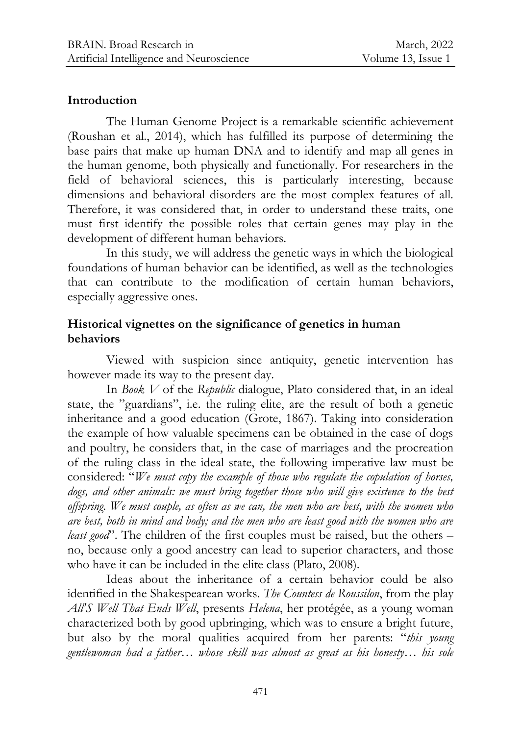#### **Introduction**

The Human Genome Project is a remarkable scientific achievement (Roushan et al., 2014), which has fulfilled its purpose of determining the base pairs that make up human DNA and to identify and map all genes in the human genome, both physically and functionally. For researchers in the field of behavioral sciences, this is particularly interesting, because dimensions and behavioral disorders are the most complex features of all. Therefore, it was considered that, in order to understand these traits, one must first identify the possible roles that certain genes may play in the development of different human behaviors.

In this study, we will address the genetic ways in which the biological foundations of human behavior can be identified, as well as the technologies that can contribute to the modification of certain human behaviors, especially aggressive ones.

## **Historical vignettes on the significance of genetics in human behaviors**

Viewed with suspicion since antiquity, genetic intervention has however made its way to the present day.

In *Book V* of the *Republic* dialogue, Plato considered that, in an ideal state, the "guardians", i.e. the ruling elite, are the result of both a genetic inheritance and a good education (Grote, 1867). Taking into consideration the example of how valuable specimens can be obtained in the case of dogs and poultry, he considers that, in the case of marriages and the procreation of the ruling class in the ideal state, the following imperative law must be considered: "*We must copy the example of those who regulate the copulation of horses,*  dogs, and other animals: we must bring together those who will give existence to the best *offspring. We must couple, as often as we can, the men who are best, with the women who are best, both in mind and body; and the men who are least good with the women who are least good*". The children of the first couples must be raised, but the others – no, because only a good ancestry can lead to superior characters, and those who have it can be included in the elite class (Plato, 2008).

Ideas about the inheritance of a certain behavior could be also identified in the Shakespearean works. *The Countess de Roussilon*, from the play *All'S Well That Ends Well*, presents *Helena*, her protégée, as a young woman characterized both by good upbringing, which was to ensure a bright future, but also by the moral qualities acquired from her parents: "*this young gentlewoman had a father… whose skill was almost as great as his honesty… his sole*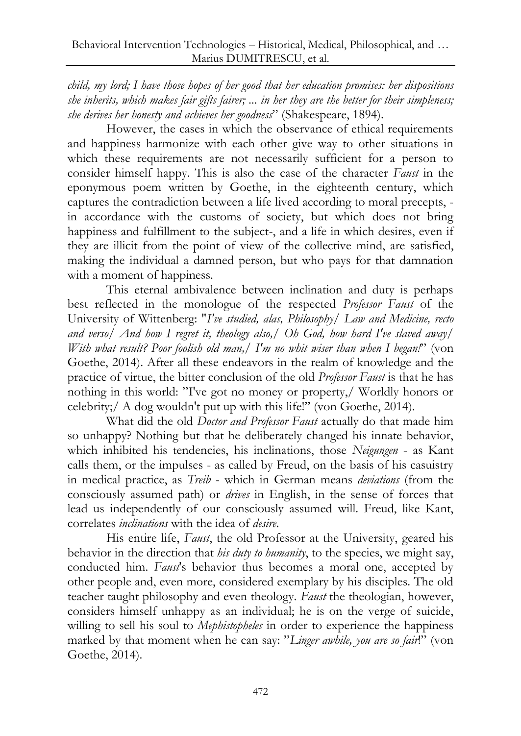*child, my lord; I have those hopes of her good that her education promises: her dispositions she inherits, which makes fair gifts fairer; ... in her they are the better for their simpleness; she derives her honesty and achieves her goodness*" (Shakespeare, 1894).

However, the cases in which the observance of ethical requirements and happiness harmonize with each other give way to other situations in which these requirements are not necessarily sufficient for a person to consider himself happy. This is also the case of the character *Faust* in the eponymous poem written by Goethe, in the eighteenth century, which captures the contradiction between a life lived according to moral precepts, in accordance with the customs of society, but which does not bring happiness and fulfillment to the subject-, and a life in which desires, even if they are illicit from the point of view of the collective mind, are satisfied, making the individual a damned person, but who pays for that damnation with a moment of happiness.

This eternal ambivalence between inclination and duty is perhaps best reflected in the monologue of the respected *Professor Faust* of the University of Wittenberg: "*I've studied, alas, Philosophy/ Law and Medicine, recto and verso/ And how I regret it, theology also,/ Oh God, how hard I've slaved away/ With what result? Poor foolish old man,/ I'm no whit wiser than when I began!*" (von Goethe, 2014). After all these endeavors in the realm of knowledge and the practice of virtue, the bitter conclusion of the old *Professor Faust* is that he has nothing in this world: "I've got no money or property,/ Worldly honors or celebrity;/ A dog wouldn't put up with this life!" (von Goethe, 2014).

What did the old *Doctor and Professor Faust* actually do that made him so unhappy? Nothing but that he deliberately changed his innate behavior, which inhibited his tendencies, his inclinations, those *Neigungen* - as Kant calls them, or the impulses - as called by Freud, on the basis of his casuistry in medical practice, as *Treib* - which in German means *deviations* (from the consciously assumed path) or *drives* in English, in the sense of forces that lead us independently of our consciously assumed will. Freud, like Kant, correlates *inclinations* with the idea of *desire*.

His entire life, *Faust*, the old Professor at the University, geared his behavior in the direction that *his duty to humanity*, to the species, we might say, conducted him. *Faust*'s behavior thus becomes a moral one, accepted by other people and, even more, considered exemplary by his disciples. The old teacher taught philosophy and even theology. *Faust* the theologian, however, considers himself unhappy as an individual; he is on the verge of suicide, willing to sell his soul to *Mephistopheles* in order to experience the happiness marked by that moment when he can say: "*Linger awhile, you are so fair*!" (von Goethe, 2014).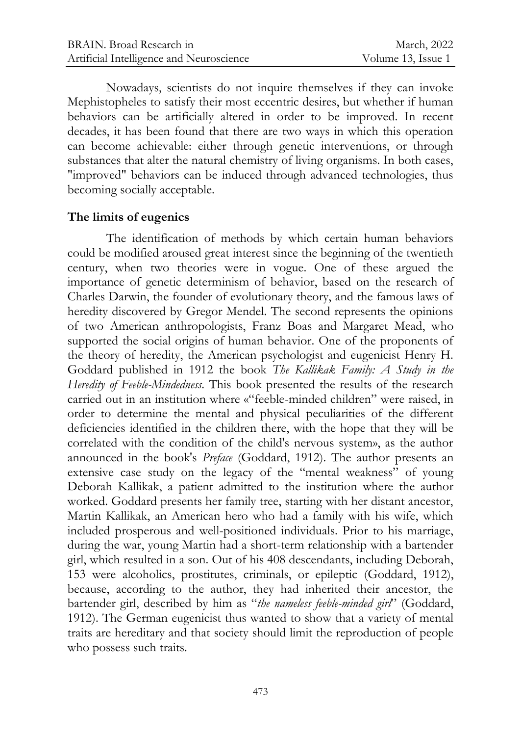Nowadays, scientists do not inquire themselves if they can invoke Mephistopheles to satisfy their most eccentric desires, but whether if human behaviors can be artificially altered in order to be improved. In recent decades, it has been found that there are two ways in which this operation can become achievable: either through genetic interventions, or through substances that alter the natural chemistry of living organisms. In both cases, "improved" behaviors can be induced through advanced technologies, thus becoming socially acceptable.

#### **The limits of eugenics**

The identification of methods by which certain human behaviors could be modified aroused great interest since the beginning of the twentieth century, when two theories were in vogue. One of these argued the importance of genetic determinism of behavior, based on the research of Charles Darwin, the founder of evolutionary theory, and the famous laws of heredity discovered by Gregor Mendel. The second represents the opinions of two American anthropologists, Franz Boas and Margaret Mead, who supported the social origins of human behavior. One of the proponents of the theory of heredity, the American psychologist and eugenicist Henry H. Goddard published in 1912 the book *The Kallikak Family: A Study in the Heredity of Feeble-Mindedness*. This book presented the results of the research carried out in an institution where «"feeble-minded children" were raised, in order to determine the mental and physical peculiarities of the different deficiencies identified in the children there, with the hope that they will be correlated with the condition of the child's nervous system», as the author announced in the book's *Preface* (Goddard, 1912). The author presents an extensive case study on the legacy of the "mental weakness" of young Deborah Kallikak, a patient admitted to the institution where the author worked. Goddard presents her family tree, starting with her distant ancestor, Martin Kallikak, an American hero who had a family with his wife, which included prosperous and well-positioned individuals. Prior to his marriage, during the war, young Martin had a short-term relationship with a bartender girl, which resulted in a son. Out of his 408 descendants, including Deborah, 153 were alcoholics, prostitutes, criminals, or epileptic (Goddard, 1912), because, according to the author, they had inherited their ancestor, the bartender girl, described by him as "*the nameless feeble-minded girl*" (Goddard, 1912). The German eugenicist thus wanted to show that a variety of mental traits are hereditary and that society should limit the reproduction of people who possess such traits.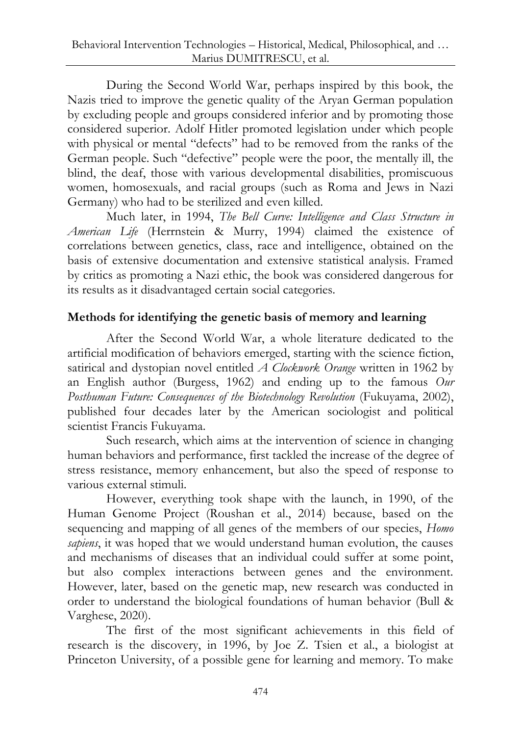During the Second World War, perhaps inspired by this book, the Nazis tried to improve the genetic quality of the Aryan German population by excluding people and groups considered inferior and by promoting those considered superior. Adolf Hitler promoted legislation under which people with physical or mental "defects" had to be removed from the ranks of the German people. Such "defective" people were the poor, the mentally ill, the blind, the deaf, those with various developmental disabilities, promiscuous women, homosexuals, and racial groups (such as Roma and Jews in Nazi Germany) who had to be sterilized and even killed.

Much later, in 1994, *The Bell Curve: Intelligence and Class Structure in American Life* (Herrnstein & Murry, 1994) claimed the existence of correlations between genetics, class, race and intelligence, obtained on the basis of extensive documentation and extensive statistical analysis. Framed by critics as promoting a Nazi ethic, the book was considered dangerous for its results as it disadvantaged certain social categories.

## **Methods for identifying the genetic basis of memory and learning**

After the Second World War, a whole literature dedicated to the artificial modification of behaviors emerged, starting with the science fiction, satirical and dystopian novel entitled *A Clockwork Orange* written in 1962 by an English author (Burgess, 1962) and ending up to the famous *Our Posthuman Future: Consequences of the Biotechnology Revolution* (Fukuyama, 2002), published four decades later by the American sociologist and political scientist Francis Fukuyama.

Such research, which aims at the intervention of science in changing human behaviors and performance, first tackled the increase of the degree of stress resistance, memory enhancement, but also the speed of response to various external stimuli.

However, everything took shape with the launch, in 1990, of the Human Genome Project (Roushan et al., 2014) because, based on the sequencing and mapping of all genes of the members of our species, *Homo sapiens*, it was hoped that we would understand human evolution, the causes and mechanisms of diseases that an individual could suffer at some point, but also complex interactions between genes and the environment. However, later, based on the genetic map, new research was conducted in order to understand the biological foundations of human behavior (Bull & Varghese, 2020).

The first of the most significant achievements in this field of research is the discovery, in 1996, by Joe Z. Tsien et al., a biologist at Princeton University, of a possible gene for learning and memory. To make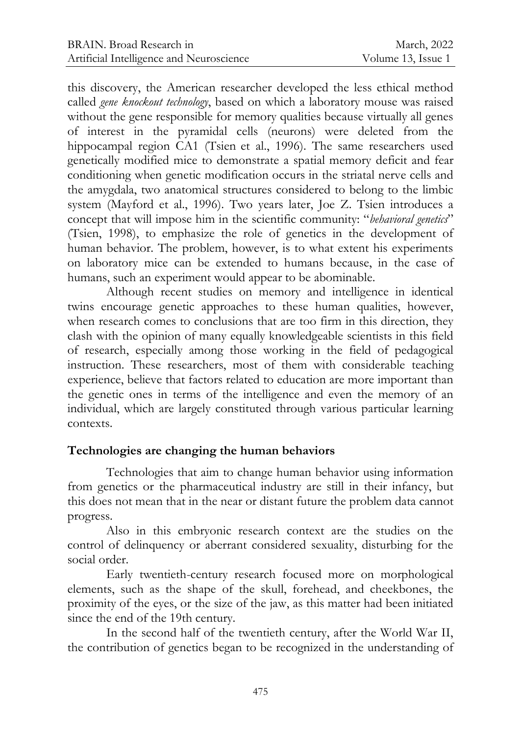this discovery, the American researcher developed the less ethical method called *gene knockout technology*, based on which a laboratory mouse was raised without the gene responsible for memory qualities because virtually all genes of interest in the pyramidal cells (neurons) were deleted from the hippocampal region CA1 (Tsien et al., 1996). The same researchers used genetically modified mice to demonstrate a spatial memory deficit and fear conditioning when genetic modification occurs in the striatal nerve cells and the amygdala, two anatomical structures considered to belong to the limbic system (Mayford et al., 1996). Two years later, Joe Z. Tsien introduces a concept that will impose him in the scientific community: "*behavioral genetics*" (Tsien, 1998), to emphasize the role of genetics in the development of human behavior. The problem, however, is to what extent his experiments on laboratory mice can be extended to humans because, in the case of humans, such an experiment would appear to be abominable.

Although recent studies on memory and intelligence in identical twins encourage genetic approaches to these human qualities, however, when research comes to conclusions that are too firm in this direction, they clash with the opinion of many equally knowledgeable scientists in this field of research, especially among those working in the field of pedagogical instruction. These researchers, most of them with considerable teaching experience, believe that factors related to education are more important than the genetic ones in terms of the intelligence and even the memory of an individual, which are largely constituted through various particular learning contexts.

## **Technologies are changing the human behaviors**

Technologies that aim to change human behavior using information from genetics or the pharmaceutical industry are still in their infancy, but this does not mean that in the near or distant future the problem data cannot progress.

Also in this embryonic research context are the studies on the control of delinquency or aberrant considered sexuality, disturbing for the social order.

Early twentieth-century research focused more on morphological elements, such as the shape of the skull, forehead, and cheekbones, the proximity of the eyes, or the size of the jaw, as this matter had been initiated since the end of the 19th century.

In the second half of the twentieth century, after the World War II, the contribution of genetics began to be recognized in the understanding of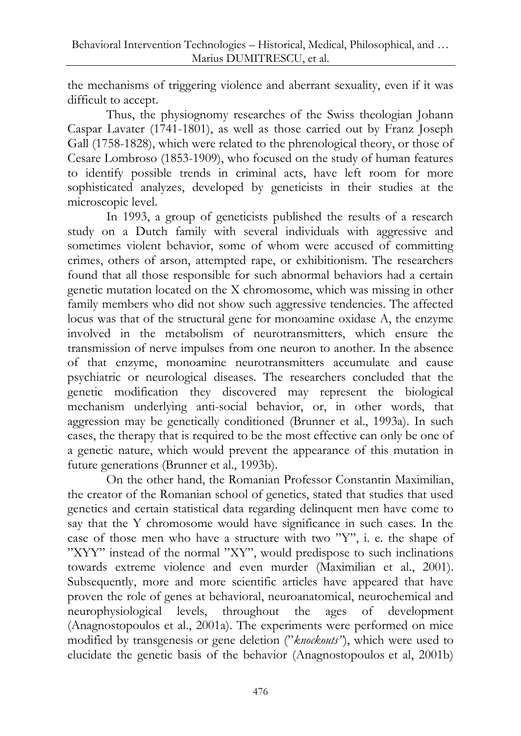the mechanisms of triggering violence and aberrant sexuality, even if it was difficult to accept.

Thus, the physiognomy researches of the Swiss theologian Johann Caspar Lavater (1741-1801), as well as those carried out by Franz Joseph Gall (1758-1828), which were related to the phrenological theory, or those of Cesare Lombroso (1853-1909), who focused on the study of human features to identify possible trends in criminal acts, have left room for more sophisticated analyzes, developed by geneticists in their studies at the microscopic level.

In 1993, a group of geneticists published the results of a research study on a Dutch family with several individuals with aggressive and sometimes violent behavior, some of whom were accused of committing crimes, others of arson, attempted rape, or exhibitionism. The researchers found that all those responsible for such abnormal behaviors had a certain genetic mutation located on the X chromosome, which was missing in other family members who did not show such aggressive tendencies. The affected locus was that of the structural gene for monoamine oxidase A, the enzyme involved in the metabolism of neurotransmitters, which ensure the transmission of nerve impulses from one neuron to another. In the absence of that enzyme, monoamine neurotransmitters accumulate and cause psychiatric or neurological diseases. The researchers concluded that the genetic modification they discovered may represent the biological mechanism underlying anti-social behavior, or, in other words, that aggression may be genetically conditioned (Brunner et al., 1993a). In such cases, the therapy that is required to be the most effective can only be one of a genetic nature, which would prevent the appearance of this mutation in future generations (Brunner et al., 1993b).

On the other hand, the Romanian Professor Constantin Maximilian, the creator of the Romanian school of genetics, stated that studies that used genetics and certain statistical data regarding delinquent men have come to say that the Y chromosome would have significance in such cases. In the case of those men who have a structure with two "Y", i. e. the shape of "XYY" instead of the normal "XY", would predispose to such inclinations towards extreme violence and even murder (Maximilian et al., 2001). Subsequently, more and more scientific articles have appeared that have proven the role of genes at behavioral, neuroanatomical, neurochemical and neurophysiological levels, throughout the ages of development (Anagnostopoulos et al., 2001a). The experiments were performed on mice modified by transgenesis or gene deletion ("*knockouts"*), which were used to elucidate the genetic basis of the behavior (Anagnostopoulos et al, 2001b)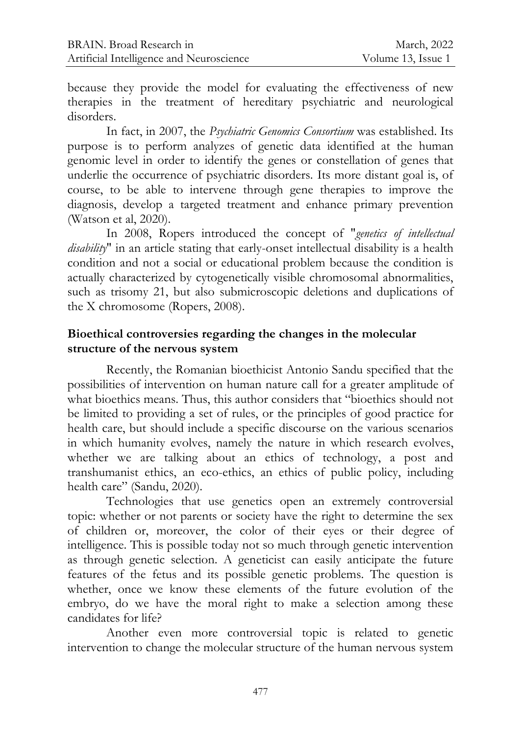because they provide the model for evaluating the effectiveness of new therapies in the treatment of hereditary psychiatric and neurological disorders.

In fact, in 2007, the *Psychiatric Genomics Consortium* was established. Its purpose is to perform analyzes of genetic data identified at the human genomic level in order to identify the genes or constellation of genes that underlie the occurrence of psychiatric disorders. Its more distant goal is, of course, to be able to intervene through gene therapies to improve the diagnosis, develop a targeted treatment and enhance primary prevention (Watson et al, 2020).

In 2008, Ropers introduced the concept of "*genetics of intellectual disability*" in an article stating that early-onset intellectual disability is a health condition and not a social or educational problem because the condition is actually characterized by cytogenetically visible chromosomal abnormalities, such as trisomy 21, but also submicroscopic deletions and duplications of the X chromosome (Ropers, 2008).

## **Bioethical controversies regarding the changes in the molecular structure of the nervous system**

Recently, the Romanian bioethicist Antonio Sandu specified that the possibilities of intervention on human nature call for a greater amplitude of what bioethics means. Thus, this author considers that "bioethics should not be limited to providing a set of rules, or the principles of good practice for health care, but should include a specific discourse on the various scenarios in which humanity evolves, namely the nature in which research evolves, whether we are talking about an ethics of technology, a post and transhumanist ethics, an eco-ethics, an ethics of public policy, including health care" (Sandu, 2020).

Technologies that use genetics open an extremely controversial topic: whether or not parents or society have the right to determine the sex of children or, moreover, the color of their eyes or their degree of intelligence. This is possible today not so much through genetic intervention as through genetic selection. A geneticist can easily anticipate the future features of the fetus and its possible genetic problems. The question is whether, once we know these elements of the future evolution of the embryo, do we have the moral right to make a selection among these candidates for life?

Another even more controversial topic is related to genetic intervention to change the molecular structure of the human nervous system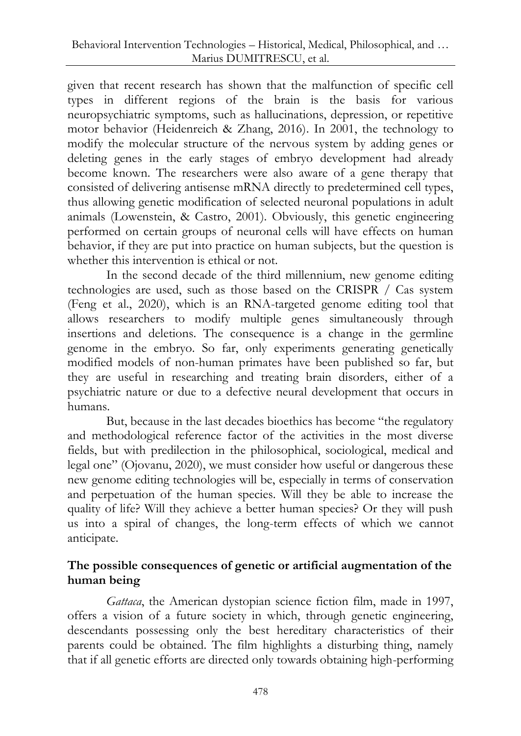given that recent research has shown that the malfunction of specific cell types in different regions of the brain is the basis for various neuropsychiatric symptoms, such as hallucinations, depression, or repetitive motor behavior (Heidenreich & Zhang, 2016). In 2001, the technology to modify the molecular structure of the nervous system by adding genes or deleting genes in the early stages of embryo development had already become known. The researchers were also aware of a gene therapy that consisted of delivering antisense mRNA directly to predetermined cell types, thus allowing genetic modification of selected neuronal populations in adult animals (Lowenstein, & Castro, 2001). Obviously, this genetic engineering performed on certain groups of neuronal cells will have effects on human behavior, if they are put into practice on human subjects, but the question is whether this intervention is ethical or not.

In the second decade of the third millennium, new genome editing technologies are used, such as those based on the CRISPR / Cas system (Feng et al., 2020), which is an RNA-targeted genome editing tool that allows researchers to modify multiple genes simultaneously through insertions and deletions. The consequence is a change in the germline genome in the embryo. So far, only experiments generating genetically modified models of non-human primates have been published so far, but they are useful in researching and treating brain disorders, either of a psychiatric nature or due to a defective neural development that occurs in humans.

But, because in the last decades bioethics has become "the regulatory and methodological reference factor of the activities in the most diverse fields, but with predilection in the philosophical, sociological, medical and legal one" (Ojovanu, 2020), we must consider how useful or dangerous these new genome editing technologies will be, especially in terms of conservation and perpetuation of the human species. Will they be able to increase the quality of life? Will they achieve a better human species? Or they will push us into a spiral of changes, the long-term effects of which we cannot anticipate.

## **The possible consequences of genetic or artificial augmentation of the human being**

*Gattaca*, the American dystopian science fiction film, made in 1997, offers a vision of a future society in which, through genetic engineering, descendants possessing only the best hereditary characteristics of their parents could be obtained. The film highlights a disturbing thing, namely that if all genetic efforts are directed only towards obtaining high-performing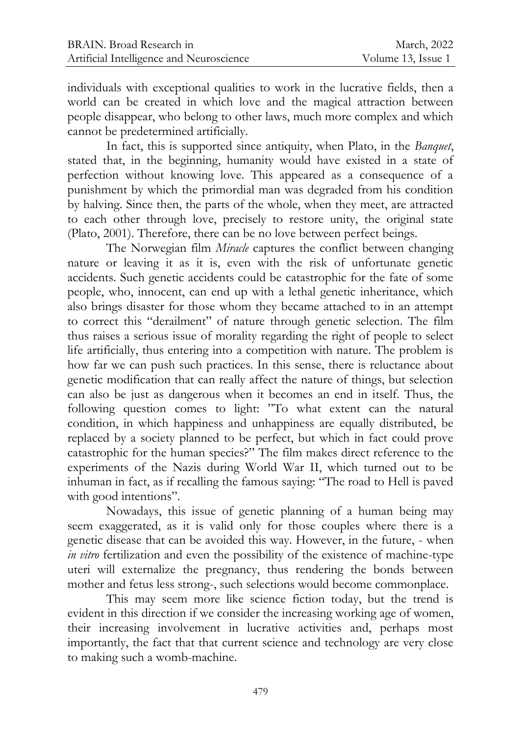individuals with exceptional qualities to work in the lucrative fields, then a world can be created in which love and the magical attraction between people disappear, who belong to other laws, much more complex and which cannot be predetermined artificially.

In fact, this is supported since antiquity, when Plato, in the *Banquet*, stated that, in the beginning, humanity would have existed in a state of perfection without knowing love. This appeared as a consequence of a punishment by which the primordial man was degraded from his condition by halving. Since then, the parts of the whole, when they meet, are attracted to each other through love, precisely to restore unity, the original state (Plato, 2001). Therefore, there can be no love between perfect beings.

The Norwegian film *Miracle* captures the conflict between changing nature or leaving it as it is, even with the risk of unfortunate genetic accidents. Such genetic accidents could be catastrophic for the fate of some people, who, innocent, can end up with a lethal genetic inheritance, which also brings disaster for those whom they became attached to in an attempt to correct this "derailment" of nature through genetic selection. The film thus raises a serious issue of morality regarding the right of people to select life artificially, thus entering into a competition with nature. The problem is how far we can push such practices. In this sense, there is reluctance about genetic modification that can really affect the nature of things, but selection can also be just as dangerous when it becomes an end in itself. Thus, the following question comes to light: "To what extent can the natural condition, in which happiness and unhappiness are equally distributed, be replaced by a society planned to be perfect, but which in fact could prove catastrophic for the human species?" The film makes direct reference to the experiments of the Nazis during World War II, which turned out to be inhuman in fact, as if recalling the famous saying: "The road to Hell is paved with good intentions".

Nowadays, this issue of genetic planning of a human being may seem exaggerated, as it is valid only for those couples where there is a genetic disease that can be avoided this way. However, in the future, - when *in vitro* fertilization and even the possibility of the existence of machine-type uteri will externalize the pregnancy, thus rendering the bonds between mother and fetus less strong-, such selections would become commonplace.

This may seem more like science fiction today, but the trend is evident in this direction if we consider the increasing working age of women, their increasing involvement in lucrative activities and, perhaps most importantly, the fact that that current science and technology are very close to making such a womb-machine.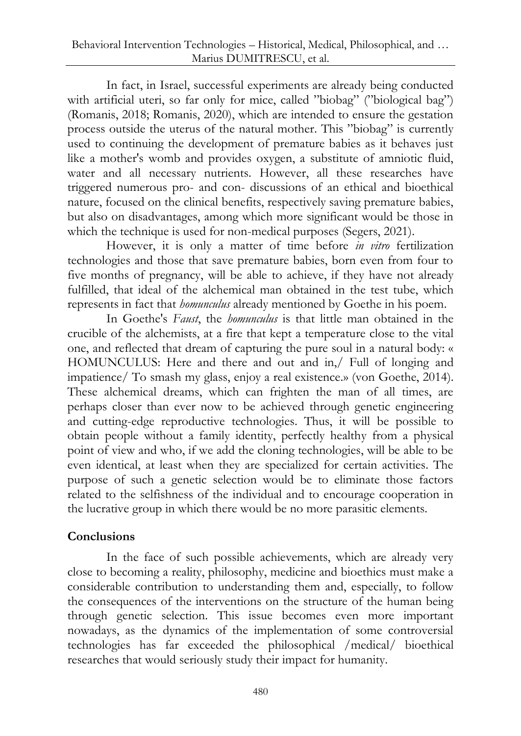In fact, in Israel, successful experiments are already being conducted with artificial uteri, so far only for mice, called "biobag" ("biological bag") (Romanis, 2018; Romanis, 2020), which are intended to ensure the gestation process outside the uterus of the natural mother. This "biobag" is currently used to continuing the development of premature babies as it behaves just like a mother's womb and provides oxygen, a substitute of amniotic fluid, water and all necessary nutrients. However, all these researches have triggered numerous pro- and con- discussions of an ethical and bioethical nature, focused on the clinical benefits, respectively saving premature babies, but also on disadvantages, among which more significant would be those in which the technique is used for non-medical purposes (Segers, 2021).

However, it is only a matter of time before *in vitro* fertilization technologies and those that save premature babies, born even from four to five months of pregnancy, will be able to achieve, if they have not already fulfilled, that ideal of the alchemical man obtained in the test tube, which represents in fact that *homunculus* already mentioned by Goethe in his poem.

In Goethe's *Faust*, the *homunculus* is that little man obtained in the crucible of the alchemists, at a fire that kept a temperature close to the vital one, and reflected that dream of capturing the pure soul in a natural body: « HOMUNCULUS: Here and there and out and in,/ Full of longing and impatience/ To smash my glass, enjoy a real existence.» (von Goethe, 2014). These alchemical dreams, which can frighten the man of all times, are perhaps closer than ever now to be achieved through genetic engineering and cutting-edge reproductive technologies. Thus, it will be possible to obtain people without a family identity, perfectly healthy from a physical point of view and who, if we add the cloning technologies, will be able to be even identical, at least when they are specialized for certain activities. The purpose of such a genetic selection would be to eliminate those factors related to the selfishness of the individual and to encourage cooperation in the lucrative group in which there would be no more parasitic elements.

# **Conclusions**

In the face of such possible achievements, which are already very close to becoming a reality, philosophy, medicine and bioethics must make a considerable contribution to understanding them and, especially, to follow the consequences of the interventions on the structure of the human being through genetic selection. This issue becomes even more important nowadays, as the dynamics of the implementation of some controversial technologies has far exceeded the philosophical /medical/ bioethical researches that would seriously study their impact for humanity.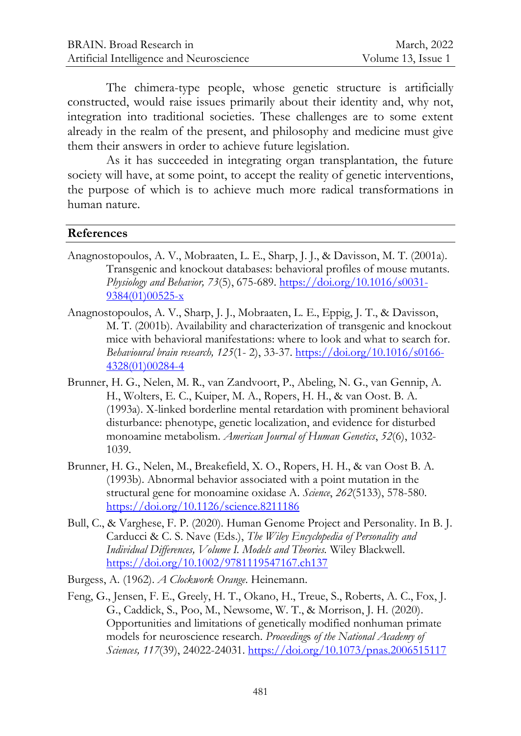The chimera-type people, whose genetic structure is artificially constructed, would raise issues primarily about their identity and, why not, integration into traditional societies. These challenges are to some extent already in the realm of the present, and philosophy and medicine must give them their answers in order to achieve future legislation.

As it has succeeded in integrating organ transplantation, the future society will have, at some point, to accept the reality of genetic interventions, the purpose of which is to achieve much more radical transformations in human nature.

#### **References**

- Anagnostopoulos, A. V., Mobraaten, L. E., Sharp, J. J., & Davisson, M. T. (2001a). Transgenic and knockout databases: behavioral profiles of mouse mutants. *Physiology and Behavior, 73*(5), 675-689. [https://doi.org/10.1016/s0031-](https://doi.org/10.1016/s0031-9384(01)00525-x) [9384\(01\)00525-x](https://doi.org/10.1016/s0031-9384(01)00525-x)
- Anagnostopoulos, A. V., Sharp, J. J., Mobraaten, L. E., Eppig, J. T., & Davisson, M. T. (2001b). Availability and characterization of transgenic and knockout mice with behavioral manifestations: where to look and what to search for. *Behavioural brain research, 125*(1- 2), 33-37. [https://doi.org/10.1016/s0166-](https://doi.org/10.1016/s0166-4328(01)00284-4) [4328\(01\)00284-4](https://doi.org/10.1016/s0166-4328(01)00284-4)
- Brunner, H. G., Nelen, M. R., van Zandvoort, P., Abeling, N. G., van Gennip, A. H., Wolters, E. C., Kuiper, M. A., Ropers, H. H., & van Oost. B. A. (1993a). X-linked borderline mental retardation with prominent behavioral disturbance: phenotype, genetic localization, and evidence for disturbed monoamine metabolism. *American Journal of Human Genetics*, *52*(6), 1032- 1039.
- Brunner, H. G., Nelen, M., Breakefield, X. O., Ropers, H. H., & van Oost B. A. (1993b). Abnormal behavior associated with a point mutation in the structural gene for monoamine oxidase A. *Science*, *262*(5133), 578-580. <https://doi.org/10.1126/science.8211186>
- Bull, C., & Varghese, F. P. (2020). Human Genome Project and Personality. In B. J. Carducci & C. S. Nave (Eds.), *The Wiley Encyclopedia of Personality and Individual Differences, Volume I. Models and Theories.* Wiley Blackwell. <https://doi.org/10.1002/9781119547167.ch137>

Burgess, A. (1962). *A Clockwork Orange*. Heinemann.

Feng, G., Jensen, F. E., Greely, H. T., Okano, H., Treue, S., Roberts, A. C., Fox, J. G., Caddick, S., Poo, M., Newsome, W. T., & Morrison, J. H. (2020). Opportunities and limitations of genetically modified nonhuman primate models for neuroscience research. *Proceeding*s *of the National Academy of Sciences, 117*(39), 24022-24031.<https://doi.org/10.1073/pnas.2006515117>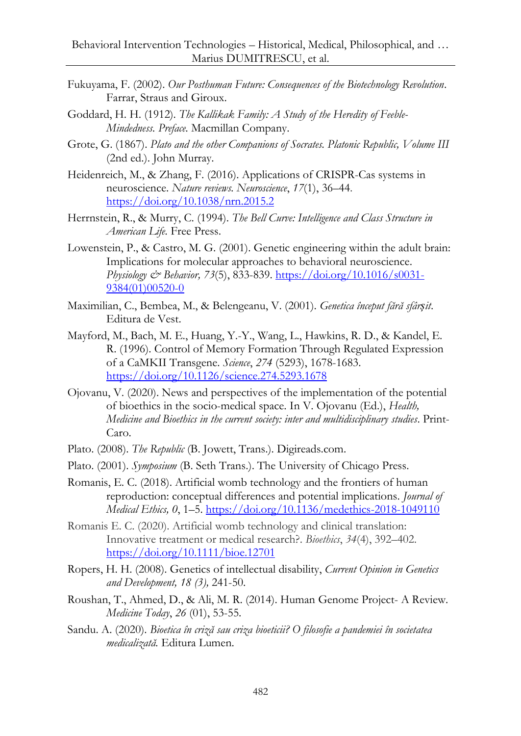- Fukuyama, F. (2002). *Our Posthuman Future: Consequences of the Biotechnology Revolution*. Farrar, Straus and Giroux.
- Goddard, H. H. (1912). *The Kallikak Family: A Study of the Heredity of Feeble-Mindedness. Preface.* Macmillan Company.
- Grote, G. (1867). *Plato and the other Companions of Socrates. Platonic Republic, Volume III* (2nd ed.). John Murray.
- Heidenreich, M., & Zhang, F. (2016). Applications of CRISPR-Cas systems in neuroscience. *Nature reviews. Neuroscience*, *17*(1), 36–44. <https://doi.org/10.1038/nrn.2015.2>
- Herrnstein, R., & Murry, C. (1994). *The Bell Curve: Intelligence and Class Structure in American Life.* Free Press.
- Lowenstein, P., & Castro, M. G. (2001). Genetic engineering within the adult brain: Implications for molecular approaches to behavioral neuroscience. *Physiology & Behavior, 73*(5), 833-839[. https://doi.org/10.1016/s0031-](https://doi.org/10.1016/s0031-9384(01)00520-0) [9384\(01\)00520-0](https://doi.org/10.1016/s0031-9384(01)00520-0)
- Maximilian, C., Bembea, M., & Belengeanu, V. (2001). *Genetica început fără sfârșit*. Editura de Vest.
- Mayford, M., Bach, M. E., Huang, Y.-Y., Wang, L., Hawkins, R. D., & Kandel, E. R. (1996). Control of Memory Formation Through Regulated Expression of a CaMKII Transgene. *Science*, *274* (5293), 1678-1683. <https://doi.org/10.1126/science.274.5293.1678>
- Ojovanu, V. (2020). News and perspectives of the implementation of the potential of bioethics in the socio-medical space. In V. Ojovanu (Ed.), *Health, Medicine and Bioethics in the current society: inter and multidisciplinary studies*. Print-Caro.
- Plato. (2008). *The Republic* (B. Jowett, Trans.). Digireads.com.
- Plato. (2001). *Symposium* (B. Seth Trans.). The University of Chicago Press.
- Romanis, E. C. (2018). Artificial womb technology and the frontiers of human reproduction: conceptual differences and potential implications. *Journal of Medical Ethics, 0*, 1–5.<https://doi.org/10.1136/medethics-2018-1049110>
- Romanis E. C. (2020). Artificial womb technology and clinical translation: Innovative treatment or medical research?. *Bioethics*, *34*(4), 392–402. <https://doi.org/10.1111/bioe.12701>
- Ropers, H. H. (2008). Genetics of intellectual disability, *Current Opinion in Genetics and Development, 18 (3),* 241-50.
- Roushan, T., Ahmed, D., & Ali, M. R. (2014). Human Genome Project- A Review. *Medicine Today*, *26* (01), 53-55.
- Sandu. A. (2020). *Bioetica în criză sau criza bioeticii? O filosofie a pandemiei în societatea medicalizată.* Editura Lumen.